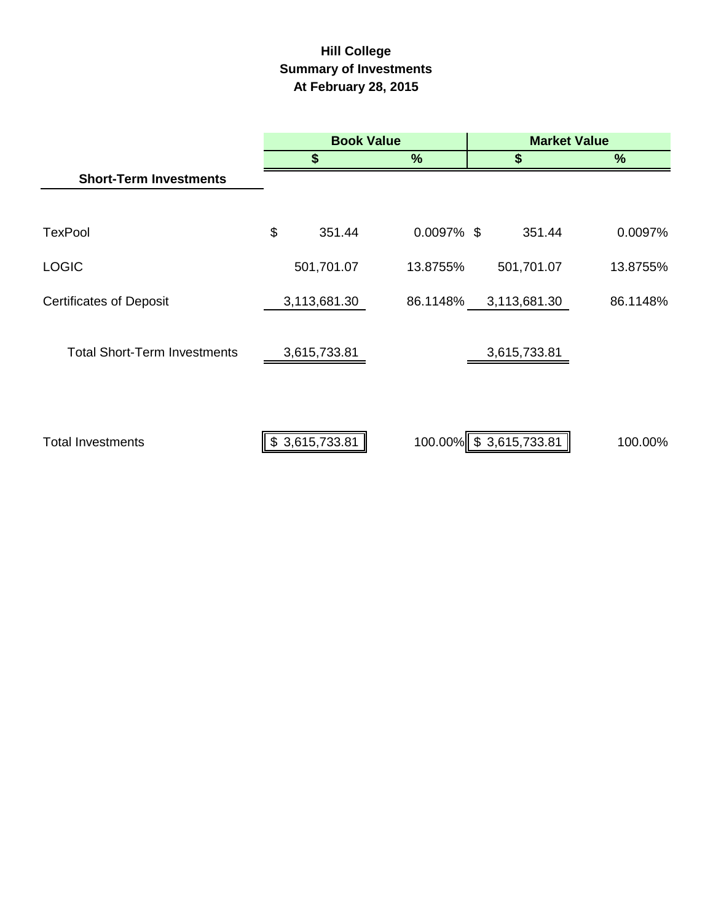# **Hill College Summary of Investments At February 28, 2015**

|                                     | <b>Book Value</b> |                |               | <b>Market Value</b> |                        |          |  |
|-------------------------------------|-------------------|----------------|---------------|---------------------|------------------------|----------|--|
|                                     |                   | \$             | $\%$          |                     | \$                     | $\%$     |  |
| <b>Short-Term Investments</b>       |                   |                |               |                     |                        |          |  |
|                                     |                   |                |               |                     |                        |          |  |
| <b>TexPool</b>                      | \$                | 351.44         | $0.0097\%$ \$ |                     | 351.44                 | 0.0097%  |  |
| <b>LOGIC</b>                        |                   | 501,701.07     | 13.8755%      |                     | 501,701.07             | 13.8755% |  |
| <b>Certificates of Deposit</b>      |                   | 3,113,681.30   | 86.1148%      |                     | 3,113,681.30           | 86.1148% |  |
| <b>Total Short-Term Investments</b> |                   | 3,615,733.81   |               |                     | 3,615,733.81           |          |  |
| <b>Total Investments</b>            |                   | \$3,615,733.81 |               |                     | 100.00% \$3,615,733.81 | 100.00%  |  |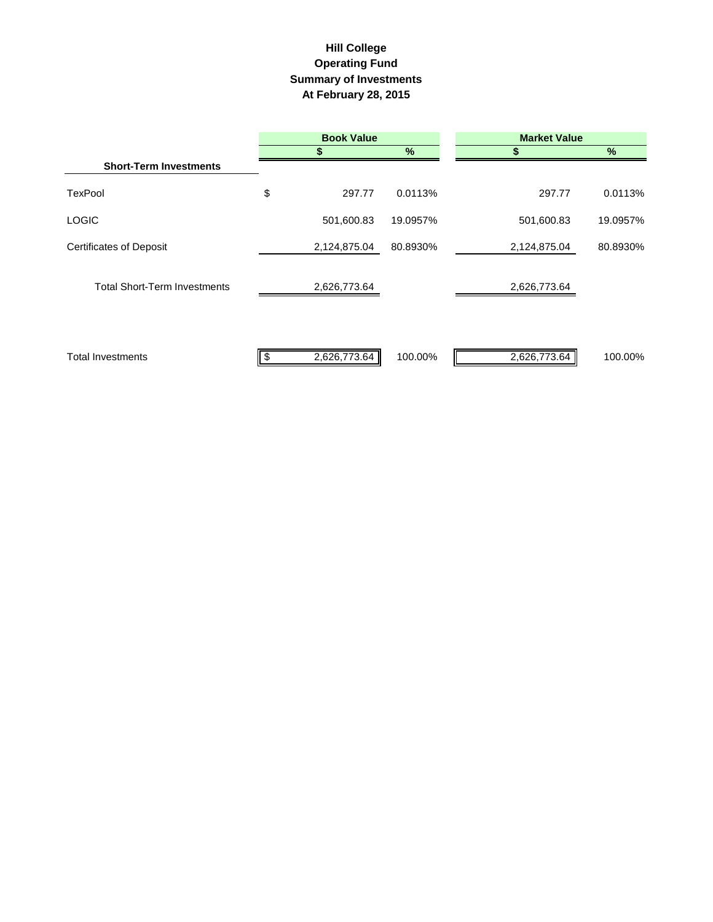# **Hill College Operating Fund Summary of Investments At February 28, 2015**

|                                     | <b>Book Value</b> |               | <b>Market Value</b> |          |  |
|-------------------------------------|-------------------|---------------|---------------------|----------|--|
|                                     |                   | $\frac{9}{6}$ | S                   | $\%$     |  |
| <b>Short-Term Investments</b>       |                   |               |                     |          |  |
| <b>TexPool</b>                      | \$<br>297.77      | 0.0113%       | 297.77              | 0.0113%  |  |
| <b>LOGIC</b>                        | 501,600.83        | 19.0957%      | 501,600.83          | 19.0957% |  |
| <b>Certificates of Deposit</b>      | 2,124,875.04      | 80.8930%      | 2,124,875.04        | 80.8930% |  |
| <b>Total Short-Term Investments</b> | 2,626,773.64      |               | 2,626,773.64        |          |  |
| <b>Total Investments</b>            | 2,626,773.64      | 100.00%       | 2,626,773.64        | 100.00%  |  |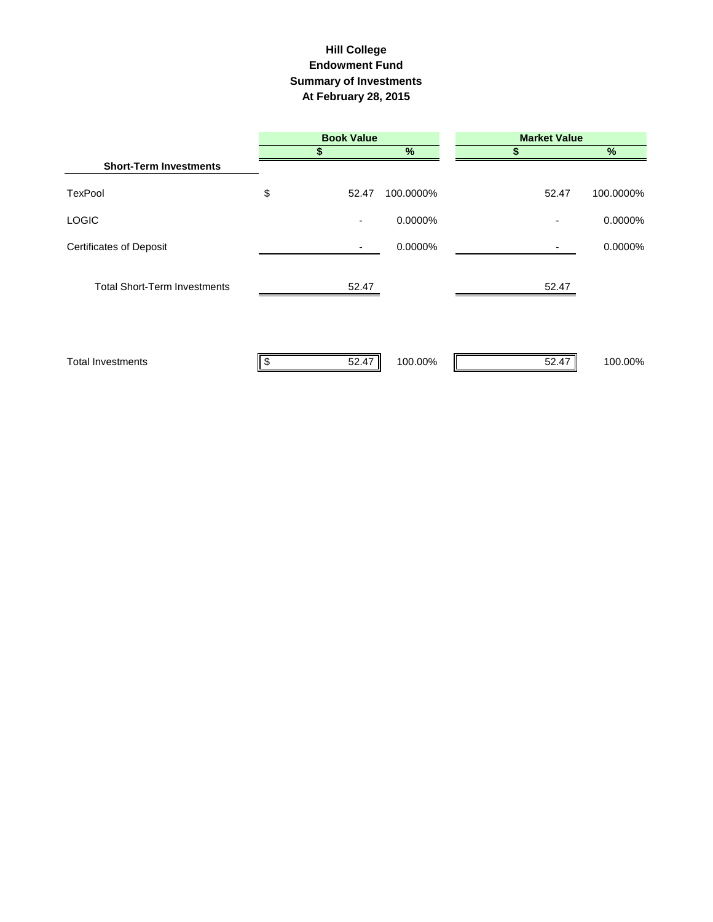### **Hill College Endowment Fund Summary of Investments At February 28, 2015**

|                                     | <b>Book Value</b> |           | <b>Market Value</b> |               |
|-------------------------------------|-------------------|-----------|---------------------|---------------|
|                                     |                   | $\%$      |                     | $\frac{9}{6}$ |
| <b>Short-Term Investments</b>       |                   |           |                     |               |
| <b>TexPool</b>                      | \$<br>52.47       | 100.0000% | 52.47               | 100.0000%     |
| <b>LOGIC</b>                        | ٠                 | 0.0000%   |                     | 0.0000%       |
| <b>Certificates of Deposit</b>      | ٠                 | 0.0000%   |                     | 0.0000%       |
| <b>Total Short-Term Investments</b> | 52.47             |           | 52.47               |               |
| <b>Total Investments</b>            | 52.47<br>\$       | 100.00%   | 52.47               | 100.00%       |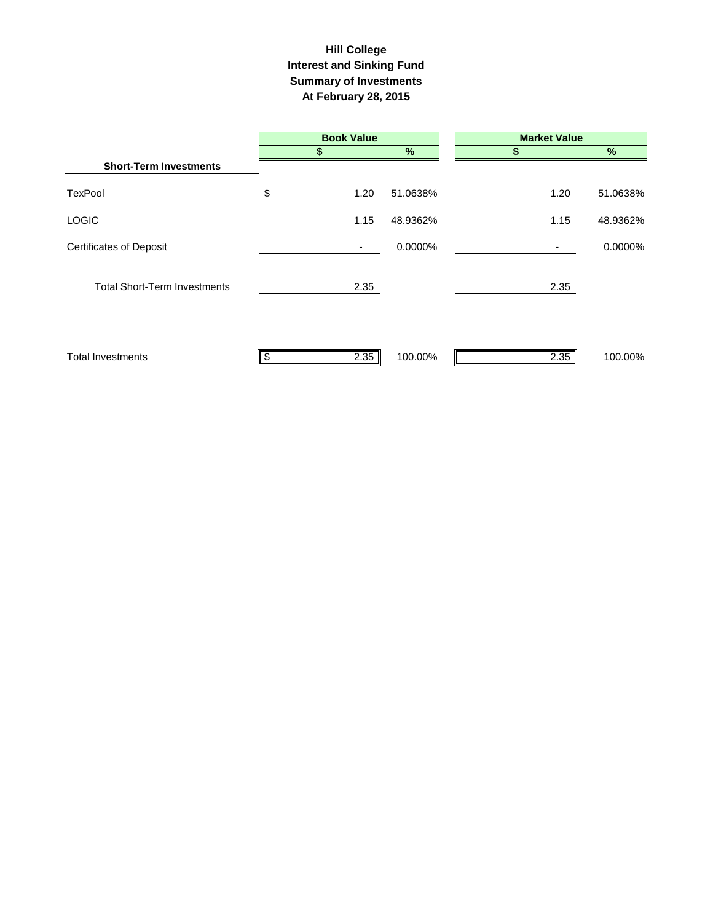### **Interest and Sinking Fund Summary of Investments At February 28, 2015 Hill College**

|                                     |     | <b>Book Value</b> |               | <b>Market Value</b> |          |  |
|-------------------------------------|-----|-------------------|---------------|---------------------|----------|--|
|                                     |     |                   | $\frac{9}{6}$ |                     | $\%$     |  |
| <b>Short-Term Investments</b>       |     |                   |               |                     |          |  |
| <b>TexPool</b>                      | \$  | 1.20              | 51.0638%      | 1.20                | 51.0638% |  |
| <b>LOGIC</b>                        |     | 1.15              | 48.9362%      | 1.15                | 48.9362% |  |
| <b>Certificates of Deposit</b>      |     | ٠                 | 0.0000%       | ٠                   | 0.0000%  |  |
| <b>Total Short-Term Investments</b> |     | 2.35              |               | 2.35                |          |  |
| <b>Total Investments</b>            | -\$ | 2.35              | 100.00%       | 2.35                | 100.00%  |  |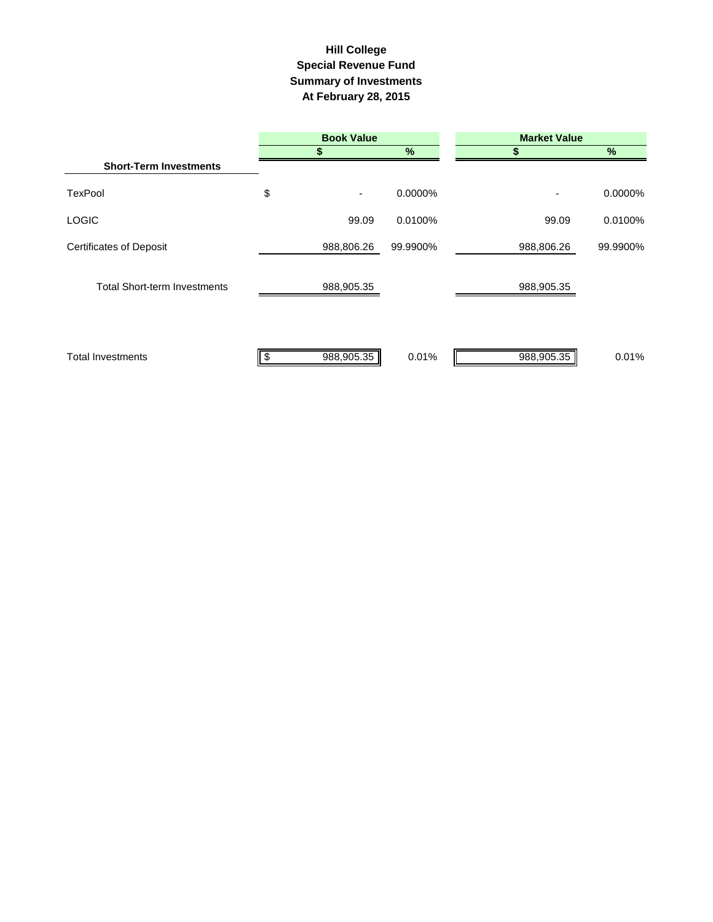# **Summary of Investments At February 28, 2015 Special Revenue Fund Hill College**

|                                     | <b>Book Value</b> |          | <b>Market Value</b> |               |  |  |  |
|-------------------------------------|-------------------|----------|---------------------|---------------|--|--|--|
|                                     |                   | %        |                     | $\frac{9}{6}$ |  |  |  |
| <b>Short-Term Investments</b>       |                   |          |                     |               |  |  |  |
| <b>TexPool</b>                      | \$<br>٠           | 0.0000%  | ٠                   | 0.0000%       |  |  |  |
| <b>LOGIC</b>                        | 99.09             | 0.0100%  | 99.09               | 0.0100%       |  |  |  |
| <b>Certificates of Deposit</b>      | 988,806.26        | 99.9900% | 988,806.26          | 99.9900%      |  |  |  |
| <b>Total Short-term Investments</b> | 988,905.35        |          | 988,905.35          |               |  |  |  |
| <b>Total Investments</b>            | 988,905.35<br>\$  | 0.01%    | 988,905.35          | 0.01%         |  |  |  |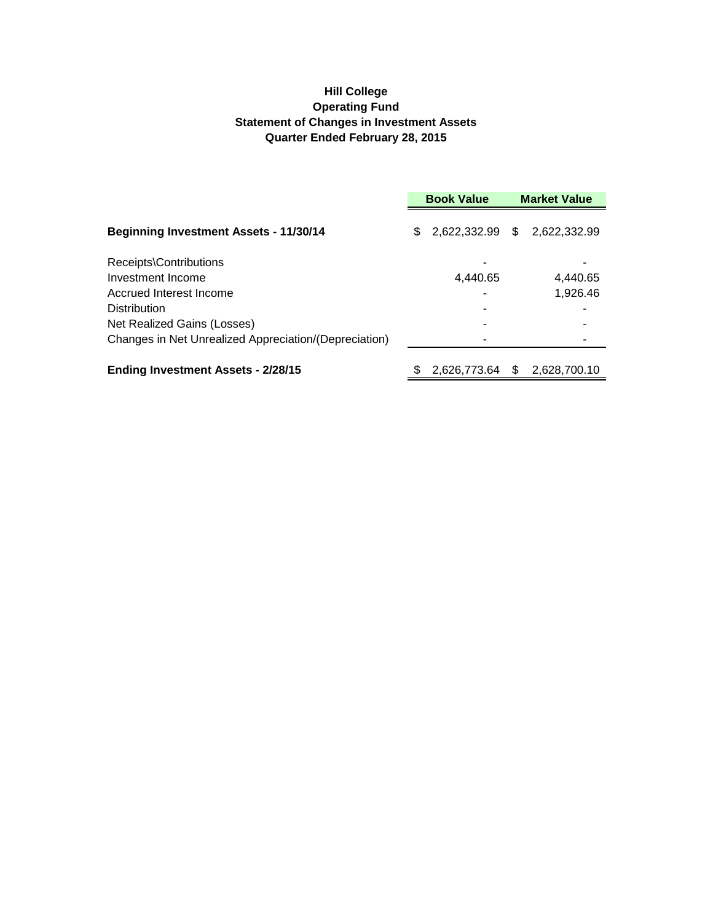# **Hill College Operating Fund Statement of Changes in Investment Assets Quarter Ended February 28, 2015**

|                                                       | <b>Book Value</b> |              |     | <b>Market Value</b> |  |  |
|-------------------------------------------------------|-------------------|--------------|-----|---------------------|--|--|
| <b>Beginning Investment Assets - 11/30/14</b>         | \$                | 2,622,332.99 | S.  | 2,622,332.99        |  |  |
| Receipts\Contributions                                |                   |              |     |                     |  |  |
| Investment Income                                     |                   | 4,440.65     |     | 4,440.65            |  |  |
| Accrued Interest Income                               |                   |              |     | 1,926.46            |  |  |
| <b>Distribution</b>                                   |                   |              |     |                     |  |  |
| Net Realized Gains (Losses)                           |                   |              |     |                     |  |  |
| Changes in Net Unrealized Appreciation/(Depreciation) |                   |              |     |                     |  |  |
| <b>Ending Investment Assets - 2/28/15</b>             |                   | 2,626,773.64 | \$. | 2,628,700.10        |  |  |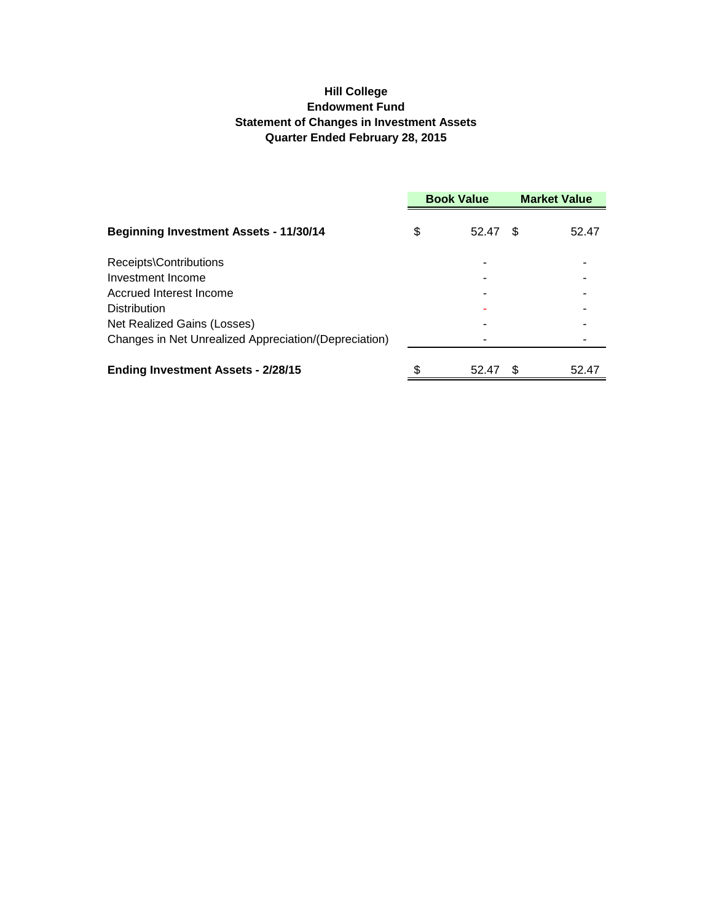# **Hill College Endowment Fund Statement of Changes in Investment Assets Quarter Ended February 28, 2015**

|                                                       | <b>Book Value</b> |       | <b>Market Value</b> |       |
|-------------------------------------------------------|-------------------|-------|---------------------|-------|
| <b>Beginning Investment Assets - 11/30/14</b>         | \$                | 52.47 | \$.                 | 52.47 |
| Receipts\Contributions                                |                   |       |                     |       |
| Investment Income                                     |                   |       |                     |       |
| Accrued Interest Income                               |                   |       |                     |       |
| Distribution                                          |                   |       |                     |       |
| Net Realized Gains (Losses)                           |                   |       |                     |       |
| Changes in Net Unrealized Appreciation/(Depreciation) |                   |       |                     |       |
| <b>Ending Investment Assets - 2/28/15</b>             |                   | 52.47 | £.                  | 52.47 |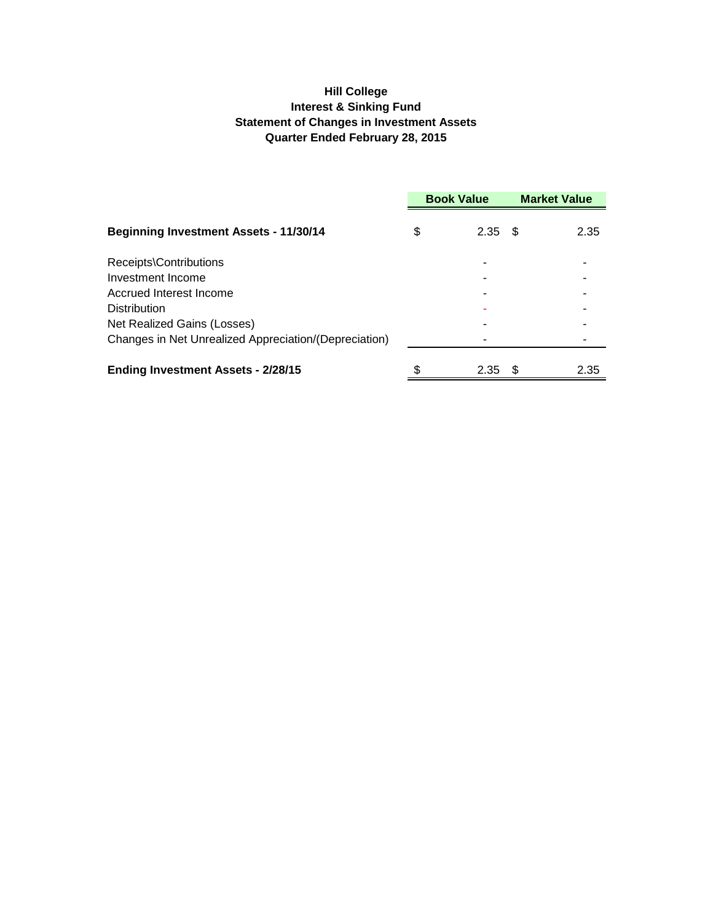# **Hill College Interest & Sinking Fund Statement of Changes in Investment Assets Quarter Ended February 28, 2015**

|                                                       | <b>Book Value</b> |                   |      | <b>Market Value</b> |  |
|-------------------------------------------------------|-------------------|-------------------|------|---------------------|--|
| <b>Beginning Investment Assets - 11/30/14</b>         | \$                | 2.35              | - \$ | 2.35                |  |
| Receipts\Contributions                                |                   |                   |      |                     |  |
| Investment Income                                     |                   |                   |      |                     |  |
| Accrued Interest Income                               |                   |                   |      |                     |  |
| <b>Distribution</b>                                   |                   |                   |      |                     |  |
| Net Realized Gains (Losses)                           |                   |                   |      |                     |  |
| Changes in Net Unrealized Appreciation/(Depreciation) |                   |                   |      |                     |  |
| <b>Ending Investment Assets - 2/28/15</b>             |                   | 2.35 <sup>5</sup> |      | 2.35                |  |